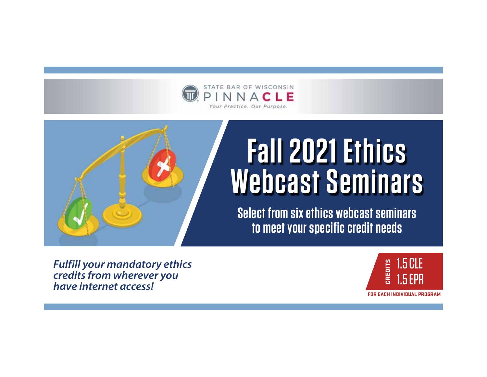



**Select from six ethics webcast seminars to meet your specific credit needs**

*Fulfill your mandatory ethics credits from wherever you have internet access!*

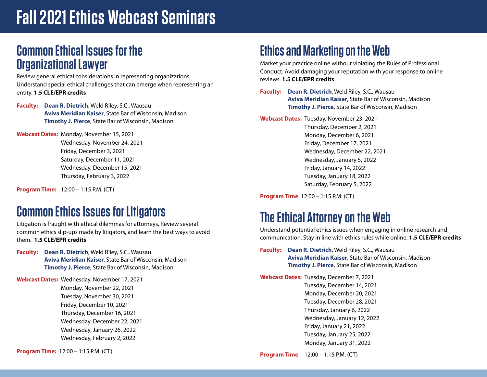# **Fall 2021 Ethics Webcast Seminars**

## **Common Ethical Issues for the Organizational Lawyer**

Review general ethical considerations in representing organizations. Understand special ethical challenges that can emerge when representing an entity. **1.5 CLE/EPR credits**

**Faculty: Dean R. Dietrich**, Weld Riley, S.C., Wausau **Aviva Meridian Kaiser**, State Bar of Wisconsin, Madison **Timothy J. Pierce**, State Bar of Wisconsin, Madison

**Webcast Dates:** Monday, November 15, 2021 Wednesday, November 24, 2021 Friday, December 3, 2021 Saturday, December 11, 2021 Wednesday, December 15, 2021 Thursday, February 3, 2022

**Program Time:** 12:00 – 1:15 P.M. (CT)

## **Common Ethics Issues for Litigators**

Litigation is fraught with ethical dilemmas for attorneys, Review several common ethics slip-ups made by litigators, and learn the best ways to avoid them. **1.5 CLE/EPR credits**

**Faculty: Dean R. Dietrich**, Weld Riley, S.C., Wausau **Aviva Meridian Kaiser**, State Bar of Wisconsin, Madison **Timothy J. Pierce**, State Bar of Wisconsin, Madison

**Webcast Dates:** Wednesday, November 17, 2021 Monday, November 22, 2021 Tuesday, November 30, 2021 Friday, December 10, 2021 Thursday, December 16, 2021 Wednesday, December 22, 2021 Wednesday, January 26, 2022 Wednesday, February 2, 2022

**Program Time:** 12:00 – 1:15 P.M. (CT)

## **Ethics and Marketing on the Web**

Market your practice online without violating the Rules of Professional Conduct. Avoid damaging your reputation with your response to online reviews. **1.5 CLE/EPR credits** 

**Faculty: Dean R. Dietrich**, Weld Riley, S.C., Wausau **Aviva Meridian Kaiser**, State Bar of Wisconsin, Madison **Timothy J. Pierce**, State Bar of Wisconsin, Madison

**Webcast Dates:** Tuesday, November 23, 2021

 Thursday, December 2, 2021 Monday, December 6, 2021 Friday, December 17, 2021 Wednesday, December 22, 2021 Wednesday, January 5, 2022 Friday, January 14, 2022 Tuesday, January 18, 2022 Saturday, February 5, 2022

**Program Time** 12:00 – 1:15 P.M. (CT)

## **The Ethical Attorney on the Web**

Understand potential ethics issues when engaging in online research and communication. Stay in line with ethics rules while online. **1.5 CLE/EPR credits** 

**Faculty: Dean R. Dietrich**, Weld Riley, S.C., Wausau **Aviva Meridian Kaiser**, State Bar of Wisconsin, Madison **Timothy J. Pierce**, State Bar of Wisconsin, Madison

**Webcast Dates:** Tuesday, December 7, 2021 Tuesday, December 14, 2021 Monday, December 20, 2021 Tuesday, December 28, 2021 Thursday, January 6, 2022 Wednesday, January 12, 2022 Friday, January 21, 2022 Tuesday, January 25, 2022 Monday, January 31, 2022

**Program Time** 12:00 – 1:15 P.M. (CT)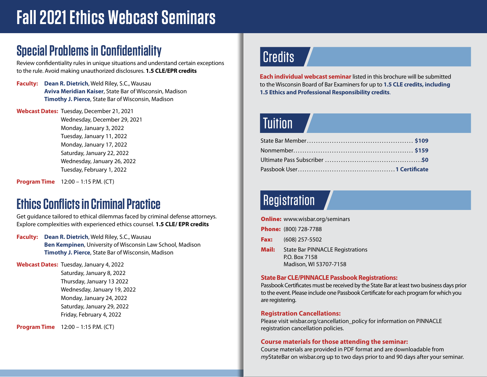# **Fall 2021 Ethics Webcast Seminars**

## **Special Problems in Confidentiality**

Review confidentiality rules in unique situations and understand certain exceptions to the rule. Avoid making unauthorized disclosures. **1.5 CLE/EPR credits**

**Faculty: Dean R. Dietrich**, Weld Riley, S.C., Wausau **Aviva Meridian Kaiser**, State Bar of Wisconsin, Madison **Timothy J. Pierce**, State Bar of Wisconsin, Madison

**Webcast Dates:** Tuesday, December 21, 2021

 Wednesday, December 29, 2021 Monday, January 3, 2022 Tuesday, January 11, 2022 Monday, January 17, 2022 Saturday, January 22, 2022 Wednesday, January 26, 2022 Tuesday, February 1, 2022

**Program Time** 12:00 – 1:15 P.M. (CT)

## **Ethics Conflicts in Criminal Practice**

Get guidance tailored to ethical dilemmas faced by criminal defense attorneys. Explore complexities with experienced ethics counsel. **1.5 CLE/ EPR credits**

**Faculty: Dean R. Dietrich**, Weld Riley, S.C., Wausau **Ben Kempinen**, University of Wisconsin Law School, Madison **Timothy J. Pierce**, State Bar of Wisconsin, Madison

**Webcast Dates:** Tuesday, January 4, 2022 Saturday, January 8, 2022 Thursday, January 13 2022 Wednesday, January 19, 2022 Monday, January 24, 2022 Saturday, January 29, 2022 Friday, February 4, 2022

**Program Time** 12:00 – 1:15 P.M. (CT)

## Credits

**Each individual webcast seminar**listed in this brochure will be submitted to the Wisconsin Board of Bar Examiners for up to **1.5 CLE credits, including 1.5 Ethics and Professional Responsibility credits**.

## Tuition

## Registration

**Online:** www.wisbar.org/seminars Phone: (800) 728-7788 **Fax:** (608) 257-5502 **Mail:** State Bar PINNACLE Registrations P.O. Box 7158 Madison, WI 53707-7158

### **State Bar CLE/PINNACLE Passbook Registrations:**

Passbook Certificates must be received by the State Bar at least two business days prior to the event. Please include one Passbook Certificate for each program for which you are registering.

### **Registration Cancellations:**

Please visit wisbar.org/cancellation\_policy for information on PINNACLE registration cancellation policies.

### **Course materials for those attending the seminar:**

Course materials are provided in PDF format and are downloadable from *my*StateBar on wisbar.org up to two days prior to and 90 days after your seminar.